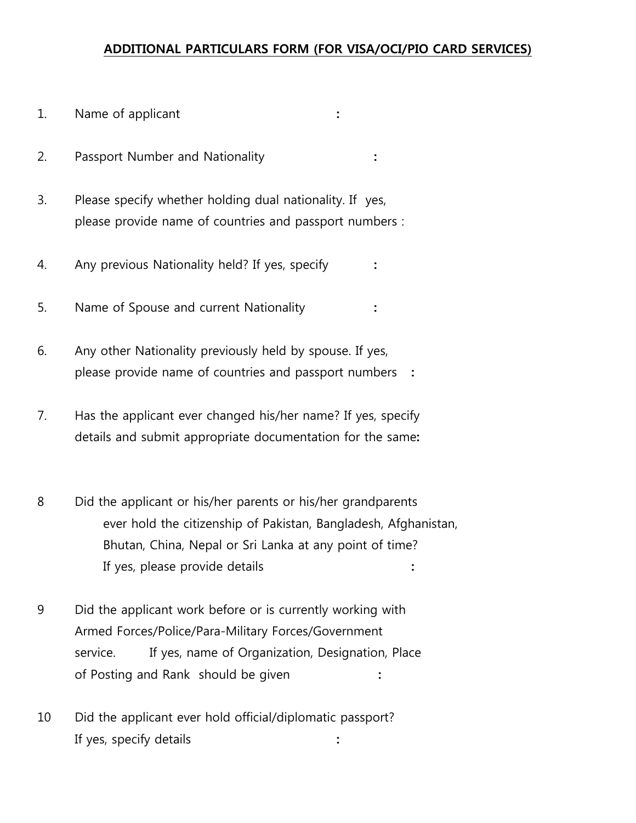## **ADDITIONAL PARTICULARS FORM (FOR VISA/OCI/PIO CARD SERVICES)**

- 1. Name of applicant **:**
- 2. Passport Number and Nationality **:**
- 3. Please specify whether holding dual nationality. If yes, please provide name of countries and passport numbers :
- 4. Any previous Nationality held? If yes, specify **:**
- 5. Name of Spouse and current Nationality **:**
- 6. Any other Nationality previously held by spouse. If yes, please provide name of countries and passport numbers **:**
- 7. Has the applicant ever changed his/her name? If yes, specify details and submit appropriate documentation for the same**:**
- 8 Did the applicant or his/her parents or his/her grandparents ever hold the citizenship of Pakistan, Bangladesh, Afghanistan, Bhutan, China, Nepal or Sri Lanka at any point of time? If yes, please provide details **:**
- 9 Did the applicant work before or is currently working with Armed Forces/Police/Para-Military Forces/Government service. If yes, name of Organization, Designation, Place of Posting and Rank should be given **:**
- 10 Did the applicant ever hold official/diplomatic passport? If yes, specify details **:**